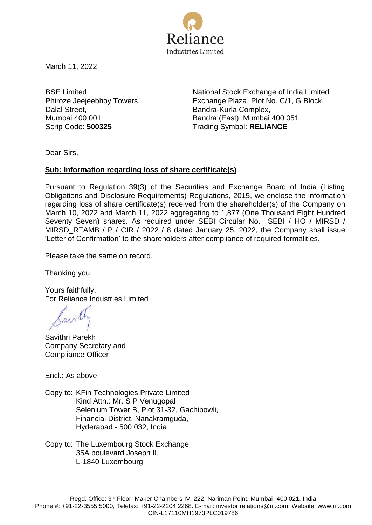

March 11, 2022

BSE Limited Phiroze Jeejeebhoy Towers, Dalal Street, Mumbai 400 001

National Stock Exchange of India Limited Exchange Plaza, Plot No. C/1, G Block, Bandra-Kurla Complex, Bandra (East), Mumbai 400 051 Scrip Code: **500325** Trading Symbol: **RELIANCE** 

Dear Sirs,

## **Sub: Information regarding loss of share certificate(s)**

Pursuant to Regulation 39(3) of the Securities and Exchange Board of India (Listing Obligations and Disclosure Requirements) Regulations, 2015, we enclose the information regarding loss of share certificate(s) received from the shareholder(s) of the Company on March 10, 2022 and March 11, 2022 aggregating to 1,877 (One Thousand Eight Hundred Seventy Seven) shares*.* As required under SEBI Circular No. SEBI / HO / MIRSD / MIRSD\_RTAMB / P / CIR / 2022 / 8 dated January 25, 2022, the Company shall issue 'Letter of Confirmation' to the shareholders after compliance of required formalities.

Please take the same on record.

Thanking you,

Yours faithfully, For Reliance Industries Limited

Savithri Parekh Company Secretary and Compliance Officer

Encl.: As above

Copy to: KFin Technologies Private Limited Kind Attn.: Mr. S P Venugopal Selenium Tower B, Plot 31-32, Gachibowli, Financial District, Nanakramguda, Hyderabad - 500 032, India

Copy to: The Luxembourg Stock Exchange 35A boulevard Joseph II, L-1840 Luxembourg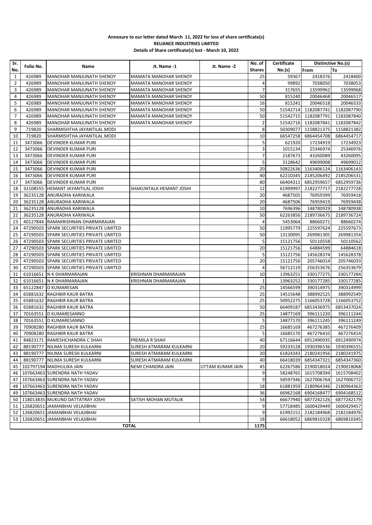## **Annexure to our letter dated March 11, 2022 for loss of share certificate(s) RELIANCE INDUSTRIES LIMITED Details of Share certificate(s) lost - March 10, 2022**

| Sr.            |           |                                           |                              | Jt. Name -2      | No. of         | Certificate | Distinctive No.(s)  |                                |
|----------------|-----------|-------------------------------------------|------------------------------|------------------|----------------|-------------|---------------------|--------------------------------|
| No.            | Folio No. | Name                                      | Jt. Name -1                  |                  | <b>Shares</b>  | No.(s)      | From                | To                             |
| $\mathbf{1}$   | 426989    | <b>MANOHAR MANJUNATH SHENOY</b>           | MAMATA MANOHAR SHENOY        |                  | 25             | 59367       | 2418376             | 2418400                        |
| $\overline{2}$ | 426989    | MANOHAR MANJUNATH SHENOY                  | MAMATA MANOHAR SHENOY        |                  | $\overline{4}$ | 99892       | 7038050             | 7038053                        |
| 3              | 426989    | MANOHAR MANJUNATH SHENOY                  | MAMATA MANOHAR SHENOY        |                  | 7              | 317655      | 13599962            | 13599968                       |
| 4              | 426989    | MANOHAR MANJUNATH SHENOY                  | <b>MAMATA MANOHAR SHENOY</b> |                  | 50             | 815240      | 20046468            | 20046517                       |
| 5              | 426989    | MANOHAR MANJUNATH SHENOY                  | MAMATA MANOHAR SHENOY        |                  | 16             | 815241      | 20046518            | 20046533                       |
| 6              | 426989    | MANOHAR MANJUNATH SHENOY                  | MAMATA MANOHAR SHENOY        |                  | 50             | 51542714    | 1182087741          | 1182087790                     |
| $\overline{7}$ | 426989    | MANOHAR MANJUNATH SHENOY                  | MAMATA MANOHAR SHENOY        |                  | 50             | 51542715    | 1182087791          | 1182087840                     |
| 8              | 426989    | MANOHAR MANJUNATH SHENOY                  | MAMATA MANOHAR SHENOY        |                  | 2              | 51542716    | 1182087841          | 1182087842                     |
| 9              | 719820    | SHARMISHTHA JAYANTILAL MODI               |                              |                  | 8              | 50309077    | 1158821375          | 1158821382                     |
| 10             | 719820    | SHARMISHTHA JAYANTILAL MODI               |                              |                  | 10             | 66547258    | 6864454708          | 6864454717                     |
| 11             | 3473066   | DEVINDER KUMAR PURI                       |                              |                  | 5              | 621920      | 17234919            | 17234923                       |
| 12             | 3473066   | <b>DEVINDER KUMAR PURI</b>                |                              |                  | 3              | 1015134     | 25346974            | 25346976                       |
| 13             | 3473066   | <b>DEVINDER KUMAR PURI</b>                |                              |                  | $\overline{7}$ | 2187673     | 43260089            | 43260095                       |
| 14             | 3473066   | <b>DEVINDER KUMAR PURI</b>                |                              |                  | 5              | 3128642     | 49699008            | 49699012                       |
| 15             | 3473066   | <b>DEVINDER KUMAR PURI</b>                |                              |                  | 20             | 50822636    | 1163406124          | 1163406143                     |
| 16             | 3473066   | <b>DEVINDER KUMAR PURI</b>                |                              |                  | 40             | 62210345    | 2185206492          | 2185206531                     |
| 17             | 3473066   | <b>DEVINDER KUMAR PURI</b>                |                              |                  | 80             | 66404311    | 6852959657          | 6852959736                     |
| 18             | 32108555  | HEMANT JAYANTILAL JOSHI                   | SHAKUNTALA HEMANT JOSHI      |                  | 12             | 61999997    | 2182277717          | 2182277728                     |
| 19             | 36235128  | ANURADHA KARIWALA                         |                              |                  | 20             | 4687505     | 76959399            | 76959418                       |
| 20             |           | 36235128 ANURADHA KARIWALA                |                              |                  | 20             | 4687506     | 76959419            | 76959438                       |
| 21             |           | 36235128 ANURADHA KARIWALA                |                              |                  | 10             | 7696396     | 148780929           | 148780938                      |
| 22             |           | 36235128 ANURADHA KARIWALA                |                              |                  | 50             | 62263856    | 2189736675          | 2189736724                     |
| 23             |           | 40127844 RAMAKRISHNAN DHARMARAJAN         |                              |                  | 4              | 5453064     | 88660271            | 88660274                       |
| 24             |           | 47290503 SPARK SECURITIES PRIVATE LIMITED |                              |                  | 50             | 11995779    | 225597624           | 225597673                      |
| 25             |           | 47290503 SPARK SECURITIES PRIVATE LIMITED |                              |                  | 50             | 13130095    | 269981305           | 269981354                      |
| 26             |           | 47290503 SPARK SECURITIES PRIVATE LIMITED |                              |                  | 5              | 15121756    | 50110558            | 50110562                       |
| 27             |           | 47290503 SPARK SECURITIES PRIVATE LIMITED |                              |                  | 20             | 15121756    | 64884599            | 64884618                       |
| 28             |           | 47290503 SPARK SECURITIES PRIVATE LIMITED |                              |                  | 5              | 15121756    | 145628374           | 145628378                      |
| 29             |           | 47290503 SPARK SECURITIES PRIVATE LIMITED |                              |                  | 20             | 15121756    | 205746014           | 205746033                      |
| 30             |           | 47290503 SPARK SECURITIES PRIVATE LIMITED |                              |                  | 4              | 56712119    | 256353676           | 256353679                      |
| 31             |           | 61016651 N K DHARMARAJAN                  | KRISHNAN DHARMARAJAN         |                  | 10             | 13963251    | 330177275           | 330177284                      |
| 32             |           | 61016651 N K DHARMARAJAN                  | KRISHNAN DHARMARAJAN         |                  | $\mathbf{1}$   | 13963252    | 330177285           | 330177285                      |
| 33             |           | 65122847  D KUMARESAN                     |                              |                  | 25             | 14566599    | 390314975           | 390314999                      |
| 34             |           | 65881632 RAGHBIR KAUR BATRA               |                              |                  | 25             | 14515648    | 388992525           | 388992549                      |
| 35             |           | 65881632 RAGHBIR KAUR BATRA               |                              |                  | 25             | 50952275    | 1166053728          | 1166053752                     |
| 36             |           | 65881632 RAGHBIR KAUR BATRA               |                              |                  | 50             | 66409187    | 6853436975          | 6853437024                     |
| 37             |           | 70163551 D KUMARESANNO                    |                              |                  | 25             | 14877169    | 396111220           | 396111244                      |
| 38             |           | 70163551 D KUMARESANNO                    |                              |                  | 5              | 14877170    | 396111245           | 396111249                      |
| 39             |           | 70908280 RAGHBIR KAUR BATRA               |                              |                  | 25             | 16685169    | 467276385           | 467276409                      |
| 40             |           | 70908280 RAGHBIR KAUR BATRA               |                              |                  | 5              | 16685170    | 467276410           | 467276414                      |
|                |           | 41 84823171 RAMESHCHANDRA C SHAH          | PREMILA R SHAH               |                  | 40             |             |                     | 67116644 6912490935 6912490974 |
|                |           | 42   88190777   NILIMA SURESH KULKARNI    | SURESH ATMARAM KULKARNI      |                  | 20             |             | 59233128 1930396536 | 1930396555                     |
| 43             |           | 88190777 NILIMA SURESH KULKARNI           | SURESH ATMARAM KULKARNI      |                  | 20             | 61824343    | 2180241956          | 2180241975                     |
|                |           | 44   88190777   NILIMA SURESH KULKARNI    | SURESH ATMARAM KULKARNI      |                  | 40             | 66418039    | 6854347321          | 6854347360                     |
|                |           | 45   102797194   MADHULIKA JAIN           | NEMI CHANDRA JAIN            | UTTAM KUMAR JAIN | 45             | 62267586    | 2190018024          | 2190018068                     |
|                |           | 46   107663463 SURENDRA NATH YADAV        |                              |                  | 9              | 58248765    | 1615708394          | 1615708402                     |
| 47             |           | 107663463 SURENDRA NATH YADAV             |                              |                  | 9              | 58597346    | 1627006764          | 1627006772                     |
| 48             |           | 107663463 SURENDRA NATH YADAV             |                              |                  | 18             | 61881959    | 2180964346          | 2180964363                     |
|                |           | 49   107663463 SURENDRA NATH YADAV        |                              |                  | 36             | 66962168    | 6904168477          | 6904168512                     |
|                |           | 50   118013835 MUKUND DATTATRAY JOSHI     | SATISH MOHAN MUTALIK         |                  | 54             | 66677940    | 6877242126          | 6877242179                     |
|                |           | 51   126820651 JAMANBHAI VELAJIBHAI       |                              |                  | 9              | 57718485    | 1600429449          | 1600429457                     |
|                |           | 52   126820651 JAMANBHAI VELAJIBHAI       |                              |                  | 9              | 61992151    | 2182184968          | 2182184976                     |
|                |           | 53   126820651 JAMANBHAI VELAJIBHAI       |                              |                  | 18             | 66618052    | 6869810328          | 6869810345                     |
|                |           |                                           | <b>TOTAL</b>                 |                  | 1175           |             |                     |                                |
|                |           |                                           |                              |                  |                |             |                     |                                |